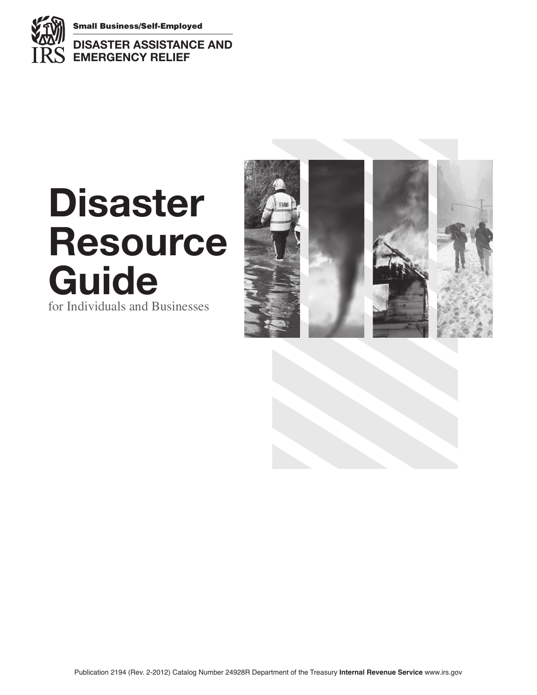Small Business/Self-Employed



**DISASTER ASSISTANCE AND EMERGENCY RELIEF**

# **Disaster Resource Guide** for Individuals and Businesses



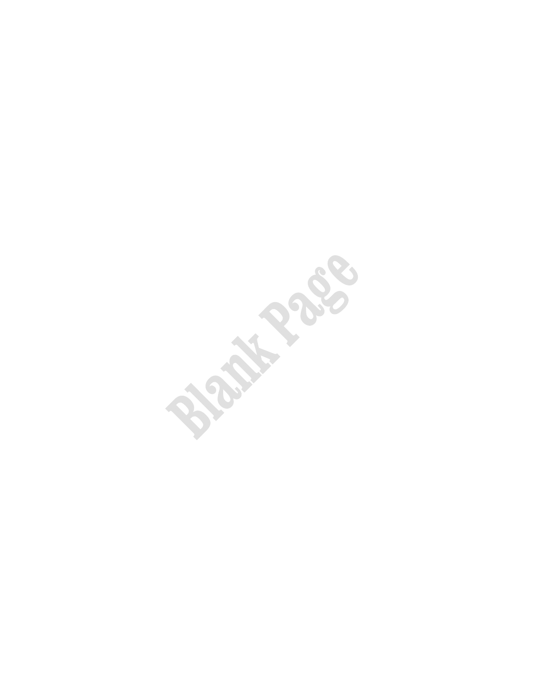**SPAIN ROOM**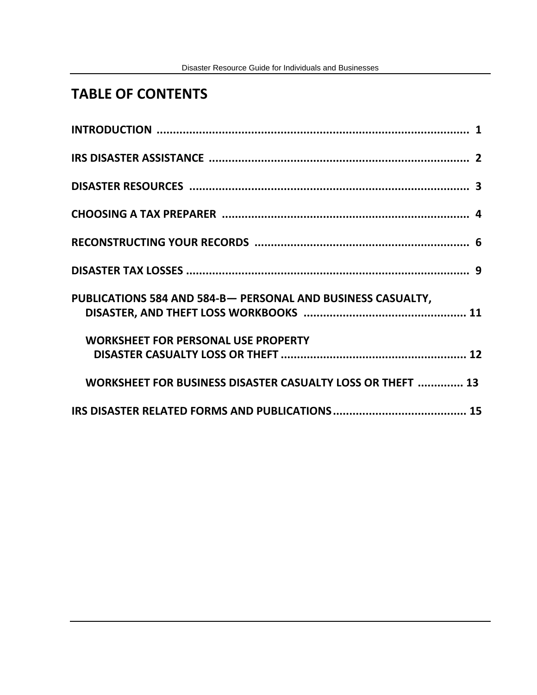# **TABLE OF CONTENTS**

| PUBLICATIONS 584 AND 584-B- PERSONAL AND BUSINESS CASUALTY, |
|-------------------------------------------------------------|
| <b>WORKSHEET FOR PERSONAL USE PROPERTY</b>                  |
|                                                             |
| WORKSHEET FOR BUSINESS DISASTER CASUALTY LOSS OR THEFT  13  |
|                                                             |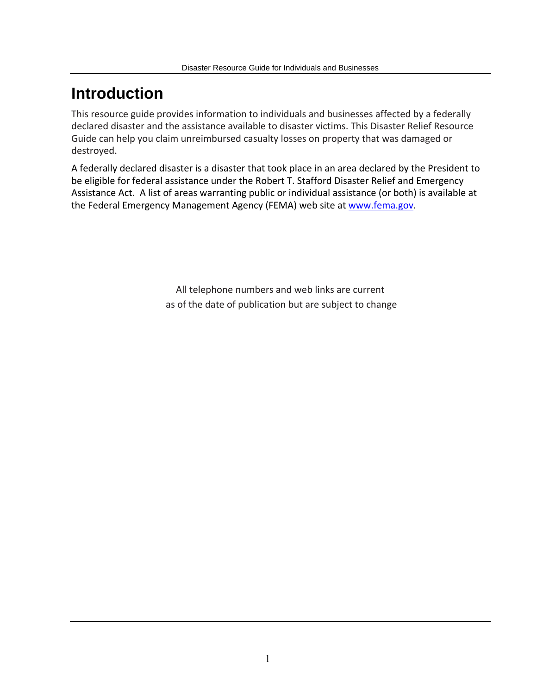# **Introduction**

This resource guide provides information to individuals and businesses affected by a federally declared disaster and the assistance available to disaster victims. This Disaster Relief Resource Guide can help you claim unreimbursed casualty losses on property that was damaged or destroyed.

A federally declared disaster is a disaster that took place in an area declared by the President to be eligible for federal assistance under the Robert T. Stafford Disaster Relief and Emergency Assistance Act. A list of areas warranting public or individual assistance (or both) is available at the Federal Emergency Management Agency (FEMA) web site at www.fema.gov.

> All telephone numbers and web links are current as of the date of publication but are subject to change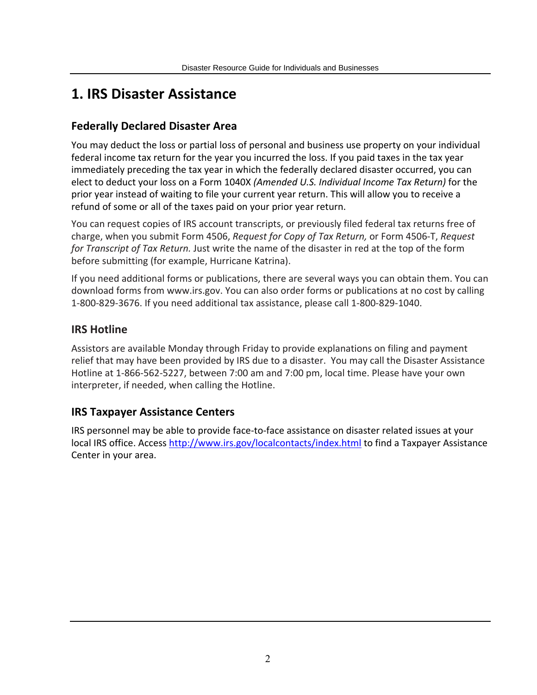# **1. IRS Disaster Assistance**

### **Federally Declared Disaster Area**

You may deduct the loss or partial loss of personal and business use property on your individual federal income tax return for the year you incurred the loss. If you paid taxes in the tax year immediately preceding the tax year in which the federally declared disaster occurred, you can elect to deduct your loss on a Form 1040X *(Amended U.S. Individual Income Tax Return)* for the prior year instead of waiting to file your current year return. This will allow you to receive a refund of some or all of the taxes paid on your prior year return.

You can request copies of IRS account transcripts, or previously filed federal tax returns free of charge, when you submit Form 4506, *Request for Copy of Tax Return,* or Form 4506‐T, *Request for Transcript of Tax Return.* Just write the name of the disaster in red at the top of the form before submitting (for example, Hurricane Katrina).

If you need additional forms or publications, there are several ways you can obtain them. You can download forms from www.irs.gov. You can also order forms or publications at no cost by calling 1‐800‐829‐3676. If you need additional tax assistance, please call 1‐800‐829‐1040.

### **IRS Hotline**

Assistors are available Monday through Friday to provide explanations on filing and payment relief that may have been provided by IRS due to a disaster. You may call the Disaster Assistance Hotline at 1‐866‐562‐5227, between 7:00 am and 7:00 pm, local time. Please have your own interpreter, if needed, when calling the Hotline.

### **IRS Taxpayer Assistance Centers**

IRS personnel may be able to provide face‐to‐face assistance on disaster related issues at your local IRS office. Access http://www.irs.gov/localcontacts/index.html to find a Taxpayer Assistance Center in your area.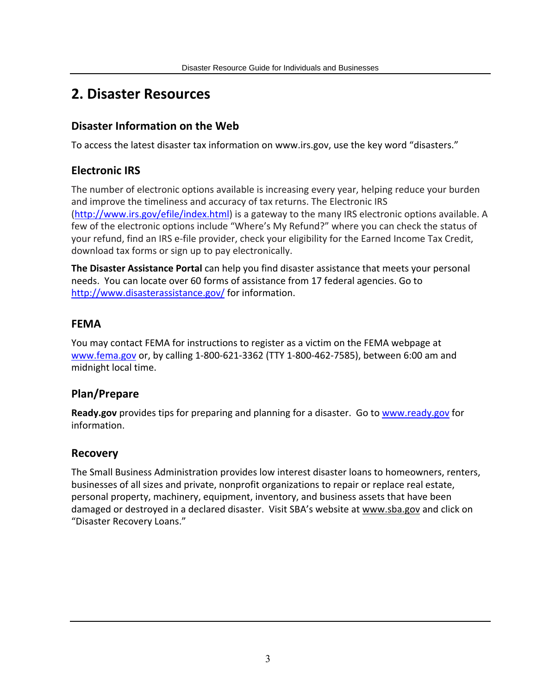# **2. Disaster Resources**

### **Disaster Information on the Web**

To access the latest disaster tax information on www.irs.gov, use the key word "disasters."

### **Electronic IRS**

The number of electronic options available is increasing every year, helping reduce your burden and improve the timeliness and accuracy of tax returns. The Electronic IRS (http://www.irs.gov/efile/index.html) is a gateway to the many IRS electronic options available. A few of the electronic options include "Where's My Refund?" where you can check the status of your refund, find an IRS e‐file provider, check your eligibility for the Earned Income Tax Credit, download tax forms or sign up to pay electronically.

**The Disaster Assistance Portal** can help you find disaster assistance that meets your personal needs. You can locate over 60 forms of assistance from 17 federal agencies. Go to http://www.disasterassistance.gov/ for information.

### **FEMA**

You may contact FEMA for instructions to register as a victim on the FEMA webpage at www.fema.gov or, by calling 1‐800‐621‐3362 (TTY 1‐800‐462‐7585), between 6:00 am and midnight local time.

### **Plan/Prepare**

**Ready.gov** provides tips for preparing and planning for a disaster. Go to www.ready.gov for information.

### **Recovery**

The Small Business Administration provides low interest disaster loans to homeowners, renters, businesses of all sizes and private, nonprofit organizations to repair or replace real estate, personal property, machinery, equipment, inventory, and business assets that have been damaged or destroyed in a declared disaster. Visit SBA's website at www.sba.gov and click on "Disaster Recovery Loans."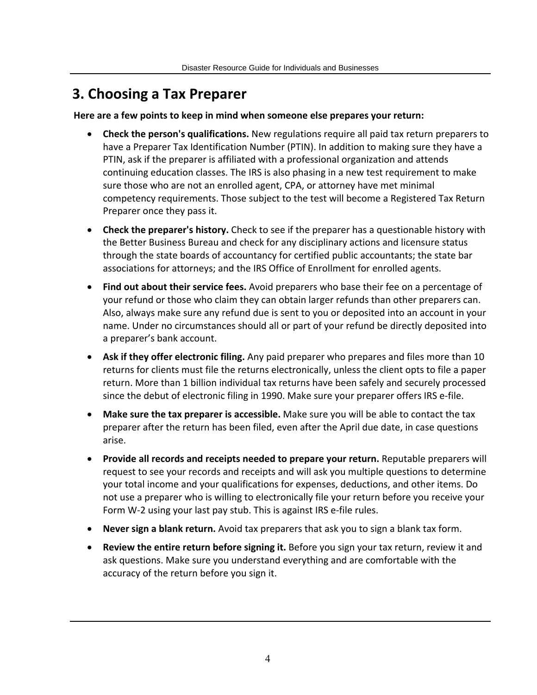# **3. Choosing a Tax Preparer**

#### **Here are a few points to keep in mind when someone else prepares your return:**

- **Check the person's qualifications.** New regulations require all paid tax return preparers to have a Preparer Tax Identification Number (PTIN). In addition to making sure they have a PTIN, ask if the preparer is affiliated with a professional organization and attends continuing education classes. The IRS is also phasing in a new test requirement to make sure those who are not an enrolled agent, CPA, or attorney have met minimal competency requirements. Those subject to the test will become a Registered Tax Return Preparer once they pass it.
- **Check the preparer's history.** Check to see if the preparer has a questionable history with the Better Business Bureau and check for any disciplinary actions and licensure status through the state boards of accountancy for certified public accountants; the state bar associations for attorneys; and the IRS Office of Enrollment for enrolled agents.
- **Find out about their service fees.** Avoid preparers who base their fee on a percentage of your refund or those who claim they can obtain larger refunds than other preparers can. Also, always make sure any refund due is sent to you or deposited into an account in your name. Under no circumstances should all or part of your refund be directly deposited into a preparer's bank account.
- **Ask if they offer electronic filing.** Any paid preparer who prepares and files more than 10 returns for clients must file the returns electronically, unless the client opts to file a paper return. More than 1 billion individual tax returns have been safely and securely processed since the debut of electronic filing in 1990. Make sure your preparer offers IRS e-file.
- **Make sure the tax preparer is accessible.** Make sure you will be able to contact the tax preparer after the return has been filed, even after the April due date, in case questions arise.
- **Provide all records and receipts needed to prepare your return.** Reputable preparers will request to see your records and receipts and will ask you multiple questions to determine your total income and your qualifications for expenses, deductions, and other items. Do not use a preparer who is willing to electronically file your return before you receive your Form W-2 using your last pay stub. This is against IRS e-file rules.
- **Never sign a blank return.** Avoid tax preparers that ask you to sign a blank tax form.
- **Review the entire return before signing it.** Before you sign your tax return, review it and ask questions. Make sure you understand everything and are comfortable with the accuracy of the return before you sign it.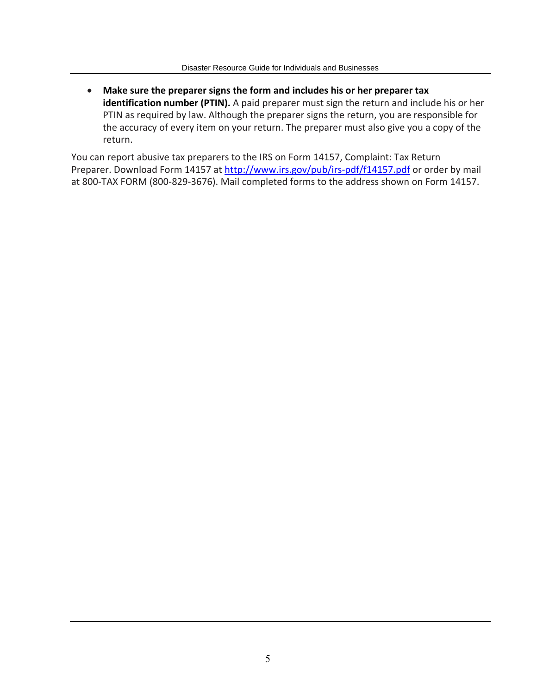**Make sure the preparer signs the form and includes his or her preparer tax identification number (PTIN).** A paid preparer must sign the return and include his or her PTIN as required by law. Although the preparer signs the return, you are responsible for the accuracy of every item on your return. The preparer must also give you a copy of the return.

You can report abusive tax preparers to the IRS on Form 14157, Complaint: Tax Return Preparer. Download Form 14157 at http://www.irs.gov/pub/irs-pdf/f14157.pdf or order by mail at 800‐TAX FORM (800‐829‐3676). Mail completed forms to the address shown on Form 14157.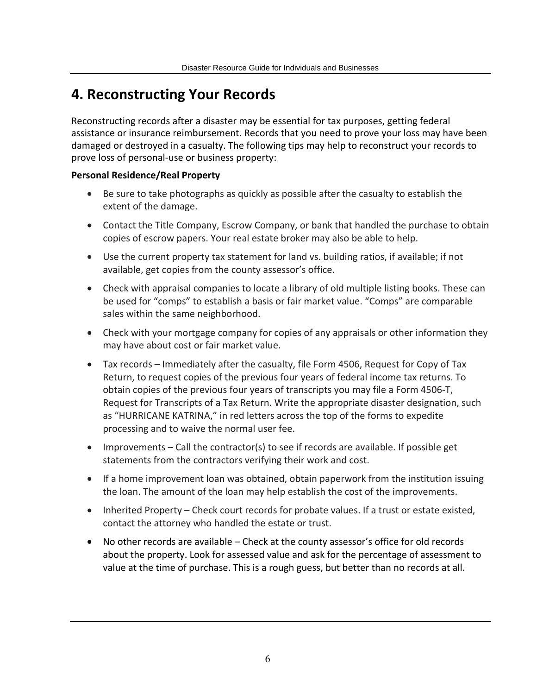# **4. Reconstructing Your Records**

Reconstructing records after a disaster may be essential for tax purposes, getting federal assistance or insurance reimbursement. Records that you need to prove your loss may have been damaged or destroyed in a casualty. The following tips may help to reconstruct your records to prove loss of personal‐use or business property:

#### **Personal Residence/Real Property**

- Be sure to take photographs as quickly as possible after the casualty to establish the extent of the damage.
- Contact the Title Company, Escrow Company, or bank that handled the purchase to obtain copies of escrow papers. Your real estate broker may also be able to help.
- Use the current property tax statement for land vs. building ratios, if available; if not available, get copies from the county assessor's office.
- Check with appraisal companies to locate a library of old multiple listing books. These can be used for "comps" to establish a basis or fair market value. "Comps" are comparable sales within the same neighborhood.
- Check with your mortgage company for copies of any appraisals or other information they may have about cost or fair market value.
- Tax records Immediately after the casualty, file Form 4506, Request for Copy of Tax Return, to request copies of the previous four years of federal income tax returns. To obtain copies of the previous four years of transcripts you may file a Form 4506‐T, Request for Transcripts of a Tax Return. Write the appropriate disaster designation, such as "HURRICANE KATRINA," in red letters across the top of the forms to expedite processing and to waive the normal user fee.
- $\bullet$  Improvements Call the contractor(s) to see if records are available. If possible get statements from the contractors verifying their work and cost.
- If a home improvement loan was obtained, obtain paperwork from the institution issuing the loan. The amount of the loan may help establish the cost of the improvements.
- Inherited Property Check court records for probate values. If a trust or estate existed, contact the attorney who handled the estate or trust.
- No other records are available Check at the county assessor's office for old records about the property. Look for assessed value and ask for the percentage of assessment to value at the time of purchase. This is a rough guess, but better than no records at all.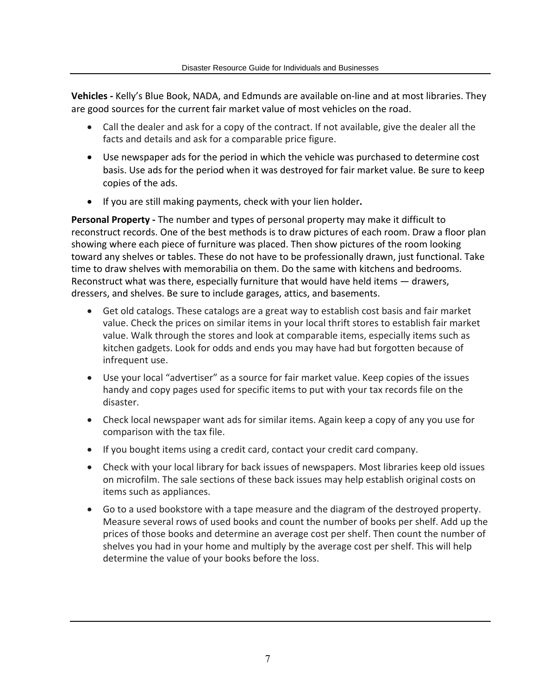**Vehicles ‐** Kelly's Blue Book, NADA, and Edmunds are available on‐line and at most libraries. They are good sources for the current fair market value of most vehicles on the road.

- Call the dealer and ask for a copy of the contract. If not available, give the dealer all the facts and details and ask for a comparable price figure.
- Use newspaper ads for the period in which the vehicle was purchased to determine cost basis. Use ads for the period when it was destroyed for fair market value. Be sure to keep copies of the ads.
- If you are still making payments, check with your lien holder**.**

**Personal Property ‐** The number and types of personal property may make it difficult to reconstruct records. One of the best methods is to draw pictures of each room. Draw a floor plan showing where each piece of furniture was placed. Then show pictures of the room looking toward any shelves or tables. These do not have to be professionally drawn, just functional. Take time to draw shelves with memorabilia on them. Do the same with kitchens and bedrooms. Reconstruct what was there, especially furniture that would have held items — drawers, dressers, and shelves. Be sure to include garages, attics, and basements.

- Get old catalogs. These catalogs are a great way to establish cost basis and fair market value. Check the prices on similar items in your local thrift stores to establish fair market value. Walk through the stores and look at comparable items, especially items such as kitchen gadgets. Look for odds and ends you may have had but forgotten because of infrequent use.
- Use your local "advertiser" as a source for fair market value. Keep copies of the issues handy and copy pages used for specific items to put with your tax records file on the disaster.
- Check local newspaper want ads for similar items. Again keep a copy of any you use for comparison with the tax file.
- If you bought items using a credit card, contact your credit card company.
- Check with your local library for back issues of newspapers. Most libraries keep old issues on microfilm. The sale sections of these back issues may help establish original costs on items such as appliances.
- Go to a used bookstore with a tape measure and the diagram of the destroyed property. Measure several rows of used books and count the number of books per shelf. Add up the prices of those books and determine an average cost per shelf. Then count the number of shelves you had in your home and multiply by the average cost per shelf. This will help determine the value of your books before the loss.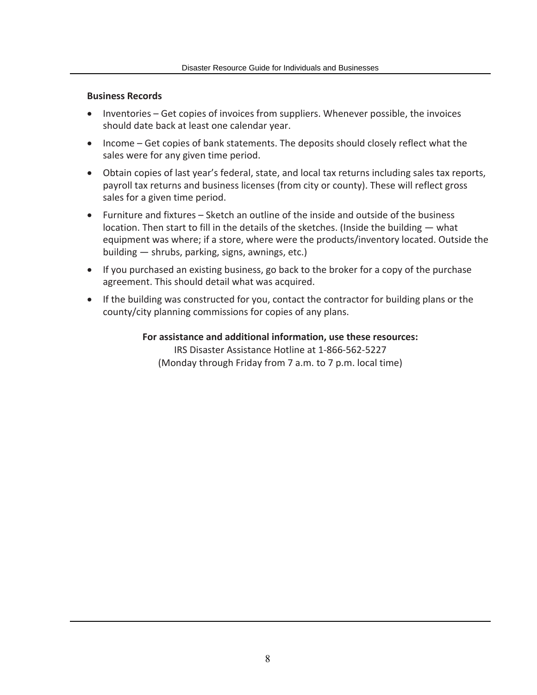#### **Business Records**

- Inventories Get copies of invoices from suppliers. Whenever possible, the invoices should date back at least one calendar year.
- Income Get copies of bank statements. The deposits should closely reflect what the sales were for any given time period.
- Obtain copies of last year's federal, state, and local tax returns including sales tax reports, payroll tax returns and business licenses (from city or county). These will reflect gross sales for a given time period.
- Furniture and fixtures Sketch an outline of the inside and outside of the business location. Then start to fill in the details of the sketches. (Inside the building — what equipment was where; if a store, where were the products/inventory located. Outside the building — shrubs, parking, signs, awnings, etc.)
- If you purchased an existing business, go back to the broker for a copy of the purchase agreement. This should detail what was acquired.
- If the building was constructed for you, contact the contractor for building plans or the county/city planning commissions for copies of any plans.

#### **For assistance and additional information, use these resources:**

IRS Disaster Assistance Hotline at 1‐866‐562‐5227 (Monday through Friday from 7 a.m. to 7 p.m. local time)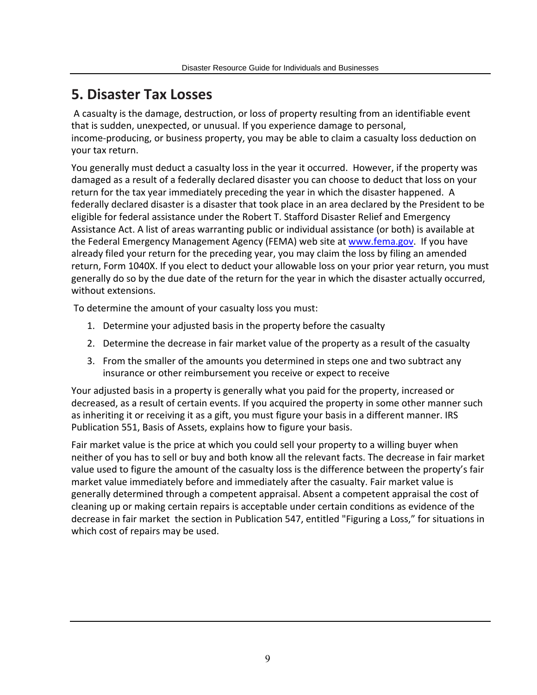### **5. Disaster Tax Losses**

A casualty is the damage, destruction, or loss of property resulting from an identifiable event that is sudden, unexpected, or unusual. If you experience damage to personal, income‐producing, or business property, you may be able to claim a casualty loss deduction on your tax return.

You generally must deduct a casualty loss in the year it occurred. However, if the property was damaged as a result of a federally declared disaster you can choose to deduct that loss on your return for the tax year immediately preceding the year in which the disaster happened. A federally declared disaster is a disaster that took place in an area declared by the President to be eligible for federal assistance under the Robert T. Stafford Disaster Relief and Emergency Assistance Act. A list of areas warranting public or individual assistance (or both) is available at the Federal Emergency Management Agency (FEMA) web site at www.fema.gov. If you have already filed your return for the preceding year, you may claim the loss by filing an amended return, Form 1040X. If you elect to deduct your allowable loss on your prior year return, you must generally do so by the due date of the return for the year in which the disaster actually occurred, without extensions.

To determine the amount of your casualty loss you must:

- 1. Determine your adjusted basis in the property before the casualty
- 2. Determine the decrease in fair market value of the property as a result of the casualty
- 3. From the smaller of the amounts you determined in steps one and two subtract any insurance or other reimbursement you receive or expect to receive

Your adjusted basis in a property is generally what you paid for the property, increased or decreased, as a result of certain events. If you acquired the property in some other manner such as inheriting it or receiving it as a gift, you must figure your basis in a different manner. IRS Publication 551, Basis of Assets, explains how to figure your basis.

Fair market value is the price at which you could sell your property to a willing buyer when neither of you has to sell or buy and both know all the relevant facts. The decrease in fair market value used to figure the amount of the casualty loss is the difference between the property's fair market value immediately before and immediately after the casualty. Fair market value is generally determined through a competent appraisal. Absent a competent appraisal the cost of cleaning up or making certain repairs is acceptable under certain conditions as evidence of the decrease in fair market the section in Publication 547, entitled "Figuring a Loss," for situations in which cost of repairs may be used.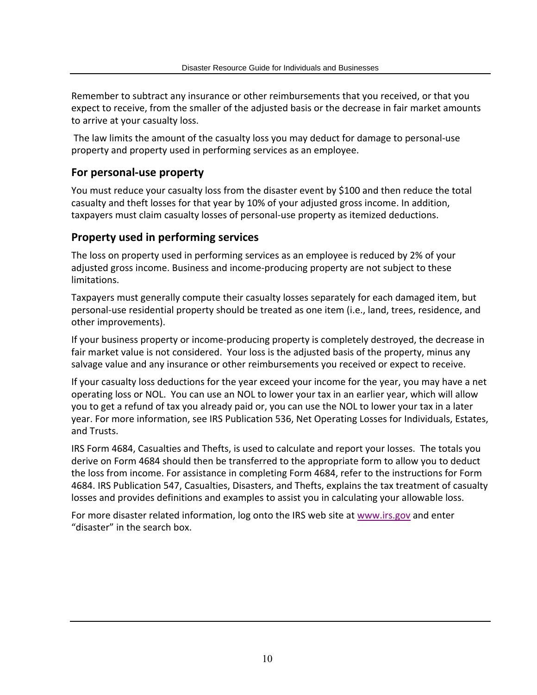Remember to subtract any insurance or other reimbursements that you received, or that you expect to receive, from the smaller of the adjusted basis or the decrease in fair market amounts to arrive at your casualty loss.

The law limits the amount of the casualty loss you may deduct for damage to personal‐use property and property used in performing services as an employee.

#### **For personal‐use property**

You must reduce your casualty loss from the disaster event by \$100 and then reduce the total casualty and theft losses for that year by 10% of your adjusted gross income. In addition, taxpayers must claim casualty losses of personal‐use property as itemized deductions.

### **Property used in performing services**

The loss on property used in performing services as an employee is reduced by 2% of your adjusted gross income. Business and income‐producing property are not subject to these limitations.

Taxpayers must generally compute their casualty losses separately for each damaged item, but personal‐use residential property should be treated as one item (i.e., land, trees, residence, and other improvements).

If your business property or income‐producing property is completely destroyed, the decrease in fair market value is not considered. Your loss is the adjusted basis of the property, minus any salvage value and any insurance or other reimbursements you received or expect to receive.

If your casualty loss deductions for the year exceed your income for the year, you may have a net operating loss or NOL. You can use an NOL to lower your tax in an earlier year, which will allow you to get a refund of tax you already paid or, you can use the NOL to lower your tax in a later year. For more information, see IRS Publication 536, Net Operating Losses for Individuals, Estates, and Trusts.

IRS Form 4684, Casualties and Thefts, is used to calculate and report your losses. The totals you derive on Form 4684 should then be transferred to the appropriate form to allow you to deduct the loss from income. For assistance in completing Form 4684, refer to the instructions for Form 4684. IRS Publication 547, Casualties, Disasters, and Thefts, explains the tax treatment of casualty losses and provides definitions and examples to assist you in calculating your allowable loss.

For more disaster related information, log onto the IRS web site at www.irs.gov and enter "disaster" in the search box.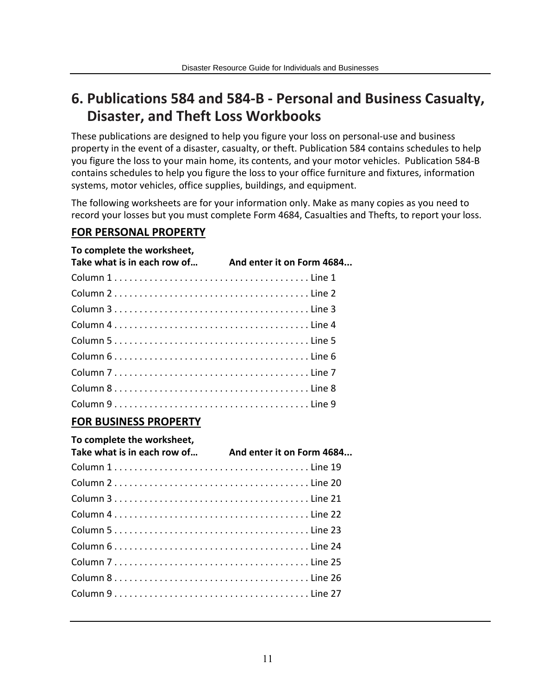# **6. Publications 584 and 584‐B ‐ Personal and Business Casualty, Disaster, and Theft Loss Workbooks**

These publications are designed to help you figure your loss on personal‐use and business property in the event of a disaster, casualty, or theft. Publication 584 contains schedules to help you figure the loss to your main home, its contents, and your motor vehicles. Publication 584‐B contains schedules to help you figure the loss to your office furniture and fixtures, information systems, motor vehicles, office supplies, buildings, and equipment.

The following worksheets are for your information only. Make as many copies as you need to record your losses but you must complete Form 4684, Casualties and Thefts, to report your loss.

#### **FOR PERSONAL PROPERTY**

| To complete the worksheet,<br>Take what is in each row of | And enter it on Form 4684 |  |  |  |  |  |
|-----------------------------------------------------------|---------------------------|--|--|--|--|--|
|                                                           |                           |  |  |  |  |  |
|                                                           |                           |  |  |  |  |  |
|                                                           |                           |  |  |  |  |  |
|                                                           |                           |  |  |  |  |  |
|                                                           |                           |  |  |  |  |  |
|                                                           |                           |  |  |  |  |  |
|                                                           |                           |  |  |  |  |  |
|                                                           |                           |  |  |  |  |  |
|                                                           |                           |  |  |  |  |  |

### **FOR BUSINESS PROPERTY**

| To complete the worksheet,<br>Take what is in each row of | And enter it on Form 4684 |
|-----------------------------------------------------------|---------------------------|
|                                                           |                           |
|                                                           |                           |
|                                                           |                           |
|                                                           |                           |
|                                                           |                           |
|                                                           |                           |
|                                                           |                           |
|                                                           |                           |
|                                                           |                           |
|                                                           |                           |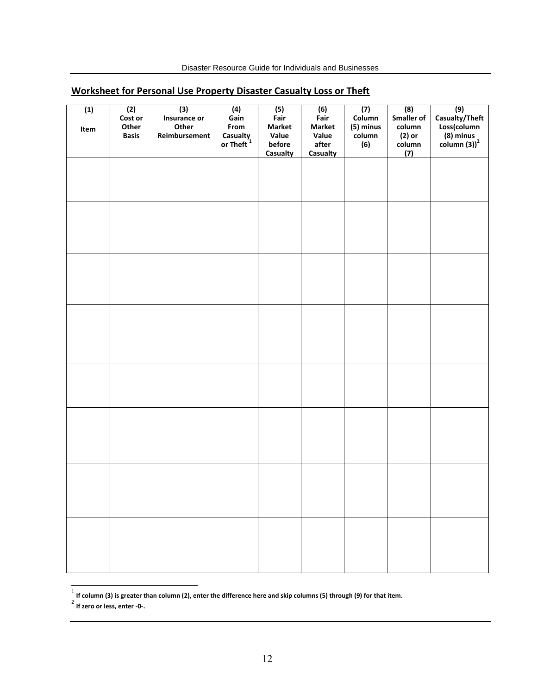| (1)<br>Item | (2)<br>Cost or<br>Other<br><b>Basis</b> | (3)<br><b>Insurance or</b><br>Other<br>Reimbursement | $\overline{(4)}$<br>Gain<br>From<br>Casualty or Theft $^{1}$ | (5)<br>Fair<br>Market<br>Value<br>before<br>Casualty | (6)<br>Fair<br>Market<br>Value<br>after<br>Casualty | (7)<br>Column<br>(5) minus<br>column<br>(6) | (8)<br><b>Smaller of</b><br>column<br>$(2)$ or<br>column<br>(7) | $(9)$<br>Casualty/Theft<br>Loss(column<br>$(8)$ minus<br>column $(3)$ <sup>2</sup> |
|-------------|-----------------------------------------|------------------------------------------------------|--------------------------------------------------------------|------------------------------------------------------|-----------------------------------------------------|---------------------------------------------|-----------------------------------------------------------------|------------------------------------------------------------------------------------|
|             |                                         |                                                      |                                                              |                                                      |                                                     |                                             |                                                                 |                                                                                    |
|             |                                         |                                                      |                                                              |                                                      |                                                     |                                             |                                                                 |                                                                                    |
|             |                                         |                                                      |                                                              |                                                      |                                                     |                                             |                                                                 |                                                                                    |
|             |                                         |                                                      |                                                              |                                                      |                                                     |                                             |                                                                 |                                                                                    |
|             |                                         |                                                      |                                                              |                                                      |                                                     |                                             |                                                                 |                                                                                    |
|             |                                         |                                                      |                                                              |                                                      |                                                     |                                             |                                                                 |                                                                                    |
|             |                                         |                                                      |                                                              |                                                      |                                                     |                                             |                                                                 |                                                                                    |
|             |                                         |                                                      |                                                              |                                                      |                                                     |                                             |                                                                 |                                                                                    |

#### **Worksheet for Personal Use Property Disaster Casualty Loss or Theft**

 $^{\rm 1}$  If column (3) is greater than column (2), enter the difference here and skip columns (5) through (9) for that item.

<sup>2</sup> **If zero or less, enter ‐0‐.**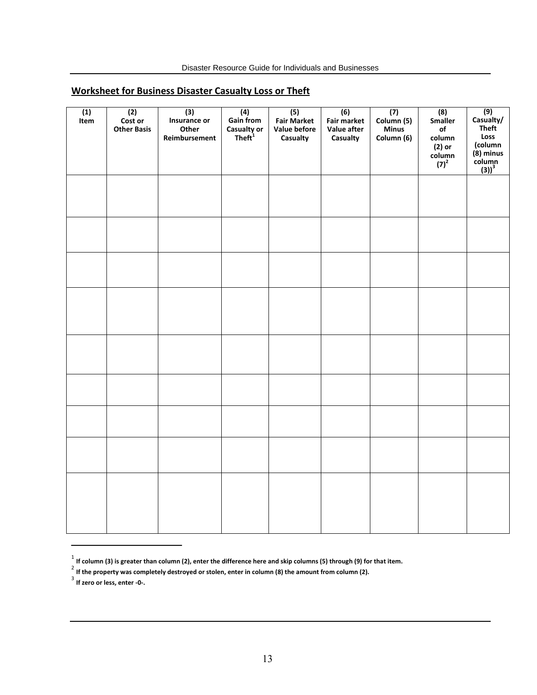| <b>Worksheet for Business Disaster Casualty Loss or Theft</b> |  |  |  |
|---------------------------------------------------------------|--|--|--|
|                                                               |  |  |  |

| (1)<br>Item | (2)<br>Cost or<br><b>Other Basis</b> | (3)<br><b>Insurance or</b><br>Other<br>Reimbursement | (4)<br><b>Gain from</b><br><b>Casualty or</b><br>Theft <sup>1</sup> | (5)<br><b>Fair Market</b><br>Value before<br>Casualty | (6)<br><b>Fair market</b><br>Value after<br>Casualty | (7)<br>Column (5)<br><b>Minus</b><br>Column (6) | (8)<br>Smaller<br>of<br>column<br>$(2)$ or<br>column<br>$(7)^2$ | (9)<br>Casualty/<br>Theft <sup>1</sup><br>Loss<br>(column<br>$(8)$ minus<br>column<br>(3)) <sup>3</sup> |
|-------------|--------------------------------------|------------------------------------------------------|---------------------------------------------------------------------|-------------------------------------------------------|------------------------------------------------------|-------------------------------------------------|-----------------------------------------------------------------|---------------------------------------------------------------------------------------------------------|
|             |                                      |                                                      |                                                                     |                                                       |                                                      |                                                 |                                                                 |                                                                                                         |
|             |                                      |                                                      |                                                                     |                                                       |                                                      |                                                 |                                                                 |                                                                                                         |
|             |                                      |                                                      |                                                                     |                                                       |                                                      |                                                 |                                                                 |                                                                                                         |
|             |                                      |                                                      |                                                                     |                                                       |                                                      |                                                 |                                                                 |                                                                                                         |
|             |                                      |                                                      |                                                                     |                                                       |                                                      |                                                 |                                                                 |                                                                                                         |
|             |                                      |                                                      |                                                                     |                                                       |                                                      |                                                 |                                                                 |                                                                                                         |
|             |                                      |                                                      |                                                                     |                                                       |                                                      |                                                 |                                                                 |                                                                                                         |
|             |                                      |                                                      |                                                                     |                                                       |                                                      |                                                 |                                                                 |                                                                                                         |
|             |                                      |                                                      |                                                                     |                                                       |                                                      |                                                 |                                                                 |                                                                                                         |

 $^{\rm 1}$  If column (3) is greater than column (2), enter the difference here and skip columns (5) through (9) for that item.

<sup>3</sup> **If zero or less, enter ‐0‐.**

<sup>2</sup> **If the property was completely destroyed or stolen, enter in column (8) the amount from column (2).**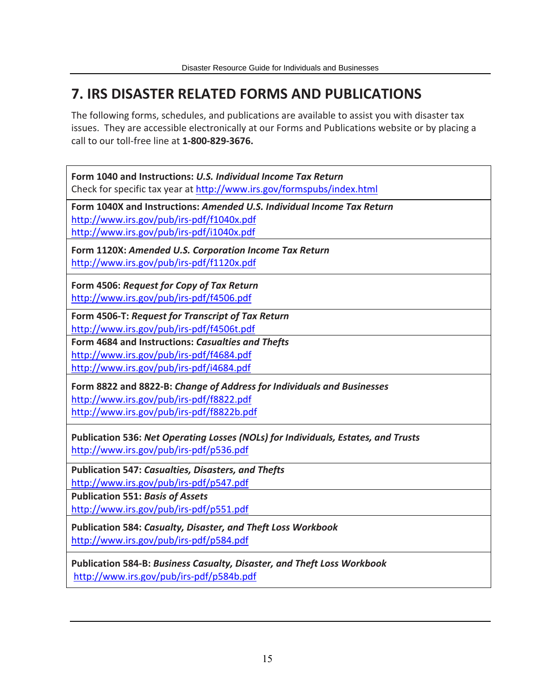### **7. IRS DISASTER RELATED FORMS AND PUBLICATIONS**

The following forms, schedules, and publications are available to assist you with disaster tax issues. They are accessible electronically at our Forms and Publications website or by placing a call to our toll‐free line at **1‐800‐829‐3676.**

**Form 1040 and Instructions:** *U.S. Individual Income Tax Return*  Check for specific tax year at http://www.irs.gov/formspubs/index.html

**Form 1040X and Instructions:** *Amended U.S. Individual Income Tax Return* http://www.irs.gov/pub/irs‐pdf/f1040x.pdf http://www.irs.gov/pub/irs‐pdf/i1040x.pdf

**Form 1120X:** *Amended U.S. Corporation Income Tax Return* http://www.irs.gov/pub/irs‐pdf/f1120x.pdf

**Form 4506:** *Request for Copy of Tax Return* http://www.irs.gov/pub/irs‐pdf/f4506.pdf

**Form 4506‐T:** *Request for Transcript of Tax Return* http://www.irs.gov/pub/irs‐pdf/f4506t.pdf

**Form 4684 and Instructions:** *Casualties and Thefts*

http://www.irs.gov/pub/irs‐pdf/f4684.pdf

http://www.irs.gov/pub/irs‐pdf/i4684.pdf

**Form 8822 and 8822‐B:** *Change of Address for Individuals and Businesses* http://www.irs.gov/pub/irs‐pdf/f8822.pdf http://www.irs.gov/pub/irs‐pdf/f8822b.pdf

**Publication 536:** *Net Operating Losses (NOLs) for Individuals, Estates, and Trusts* http://www.irs.gov/pub/irs‐pdf/p536.pdf

**Publication 547:** *Casualties, Disasters, and Thefts*

http://www.irs.gov/pub/irs‐pdf/p547.pdf

**Publication 551:** *Basis of Assets*

http://www.irs.gov/pub/irs‐pdf/p551.pdf

**Publication 584:** *Casualty, Disaster, and Theft Loss Workbook* http://www.irs.gov/pub/irs‐pdf/p584.pdf

**Publication 584‐B:** *Business Casualty, Disaster, and Theft Loss Workbook* http://www.irs.gov/pub/irs‐pdf/p584b.pdf